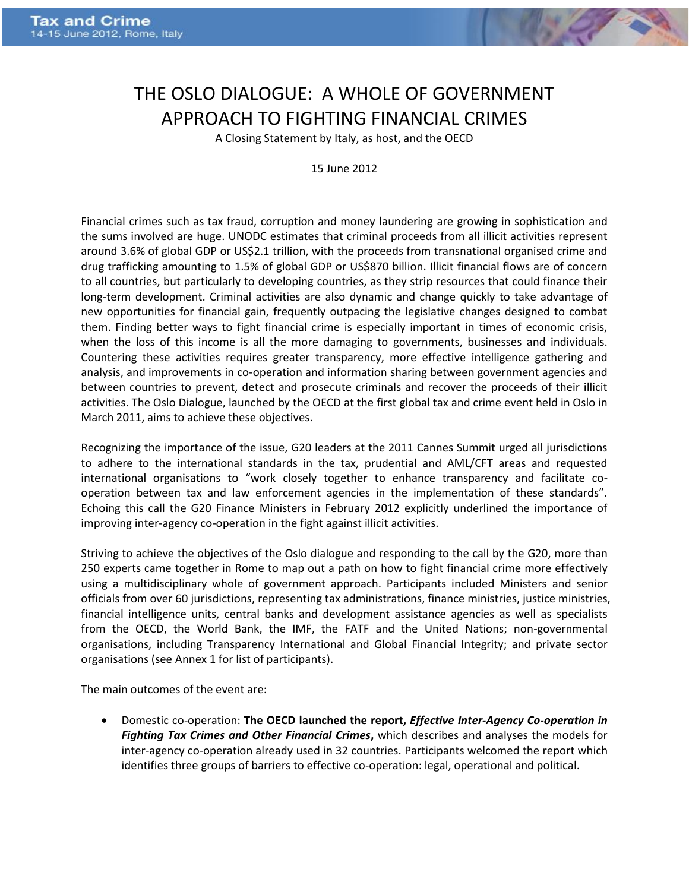

## THE OSLO DIALOGUE: A WHOLE OF GOVERNMENT APPROACH TO FIGHTING FINANCIAL CRIMES

A Closing Statement by Italy, as host, and the OECD

15 June 2012

Financial crimes such as tax fraud, corruption and money laundering are growing in sophistication and the sums involved are huge. UNODC estimates that criminal proceeds from all illicit activities represent around 3.6% of global GDP or US\$2.1 trillion, with the proceeds from transnational organised crime and drug trafficking amounting to 1.5% of global GDP or US\$870 billion. Illicit financial flows are of concern to all countries, but particularly to developing countries, as they strip resources that could finance their long-term development. Criminal activities are also dynamic and change quickly to take advantage of new opportunities for financial gain, frequently outpacing the legislative changes designed to combat them. Finding better ways to fight financial crime is especially important in times of economic crisis, when the loss of this income is all the more damaging to governments, businesses and individuals. Countering these activities requires greater transparency, more effective intelligence gathering and analysis, and improvements in co-operation and information sharing between government agencies and between countries to prevent, detect and prosecute criminals and recover the proceeds of their illicit activities. The Oslo Dialogue, launched by the OECD at the first global tax and crime event held in Oslo in March 2011, aims to achieve these objectives.

Recognizing the importance of the issue, G20 leaders at the 2011 Cannes Summit urged all jurisdictions to adhere to the international standards in the tax, prudential and AML/CFT areas and requested international organisations to "work closely together to enhance transparency and facilitate cooperation between tax and law enforcement agencies in the implementation of these standards". Echoing this call the G20 Finance Ministers in February 2012 explicitly underlined the importance of improving inter-agency co-operation in the fight against illicit activities.

Striving to achieve the objectives of the Oslo dialogue and responding to the call by the G20, more than 250 experts came together in Rome to map out a path on how to fight financial crime more effectively using a multidisciplinary whole of government approach. Participants included Ministers and senior officials from over 60 jurisdictions, representing tax administrations, finance ministries, justice ministries, financial intelligence units, central banks and development assistance agencies as well as specialists from the OECD, the World Bank, the IMF, the FATF and the United Nations; non-governmental organisations, including Transparency International and Global Financial Integrity; and private sector organisations (see Annex 1 for list of participants).

The main outcomes of the event are:

 Domestic co-operation: **The OECD launched the report,** *Effective Inter-Agency Co-operation in Fighting Tax Crimes and Other Financial Crimes***,** which describes and analyses the models for inter-agency co-operation already used in 32 countries. Participants welcomed the report which identifies three groups of barriers to effective co-operation: legal, operational and political.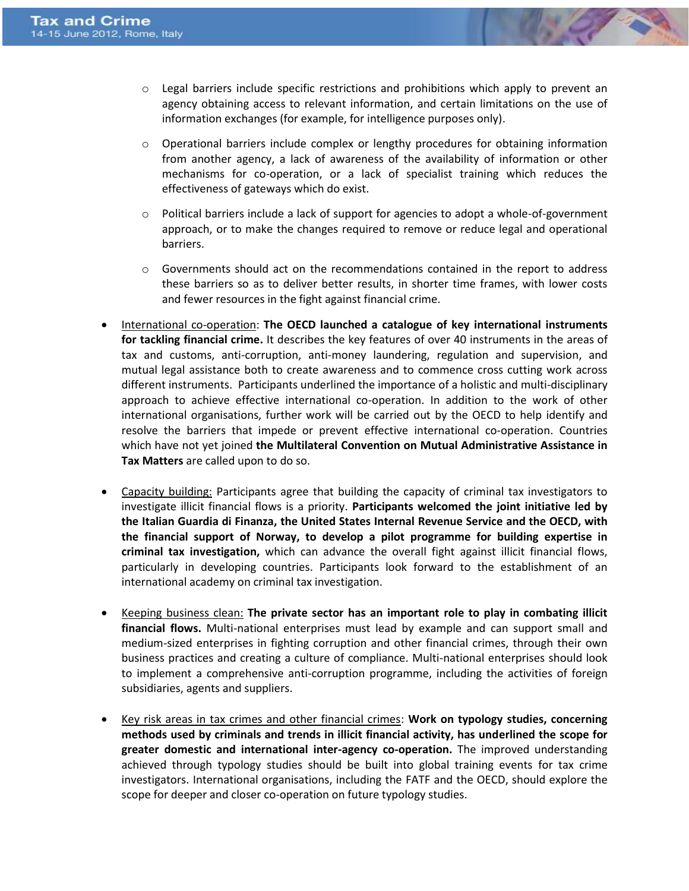- $\circ$  Legal barriers include specific restrictions and prohibitions which apply to prevent an agency obtaining access to relevant information, and certain limitations on the use of information exchanges (for example, for intelligence purposes only).
- $\circ$  Operational barriers include complex or lengthy procedures for obtaining information from another agency, a lack of awareness of the availability of information or other mechanisms for co-operation, or a lack of specialist training which reduces the effectiveness of gateways which do exist.
- $\circ$  Political barriers include a lack of support for agencies to adopt a whole-of-government approach, or to make the changes required to remove or reduce legal and operational barriers.
- $\circ$  Governments should act on the recommendations contained in the report to address these barriers so as to deliver better results, in shorter time frames, with lower costs and fewer resources in the fight against financial crime.
- International co-operation: **The OECD launched a catalogue of key international instruments for tackling financial crime.** It describes the key features of over 40 instruments in the areas of tax and customs, anti-corruption, anti-money laundering, regulation and supervision, and mutual legal assistance both to create awareness and to commence cross cutting work across different instruments. Participants underlined the importance of a holistic and multi-disciplinary approach to achieve effective international co-operation. In addition to the work of other international organisations, further work will be carried out by the OECD to help identify and resolve the barriers that impede or prevent effective international co-operation. Countries which have not yet joined **the Multilateral Convention on Mutual Administrative Assistance in Tax Matters** are called upon to do so.
- Capacity building: Participants agree that building the capacity of criminal tax investigators to investigate illicit financial flows is a priority. **Participants welcomed the joint initiative led by the Italian Guardia di Finanza, the United States Internal Revenue Service and the OECD, with the financial support of Norway, to develop a pilot programme for building expertise in criminal tax investigation,** which can advance the overall fight against illicit financial flows, particularly in developing countries. Participants look forward to the establishment of an international academy on criminal tax investigation.
- Keeping business clean: **The private sector has an important role to play in combating illicit financial flows.** Multi-national enterprises must lead by example and can support small and medium-sized enterprises in fighting corruption and other financial crimes, through their own business practices and creating a culture of compliance. Multi-national enterprises should look to implement a comprehensive anti-corruption programme, including the activities of foreign subsidiaries, agents and suppliers.
- Key risk areas in tax crimes and other financial crimes: **Work on typology studies, concerning methods used by criminals and trends in illicit financial activity, has underlined the scope for greater domestic and international inter-agency co-operation.** The improved understanding achieved through typology studies should be built into global training events for tax crime investigators. International organisations, including the FATF and the OECD, should explore the scope for deeper and closer co-operation on future typology studies.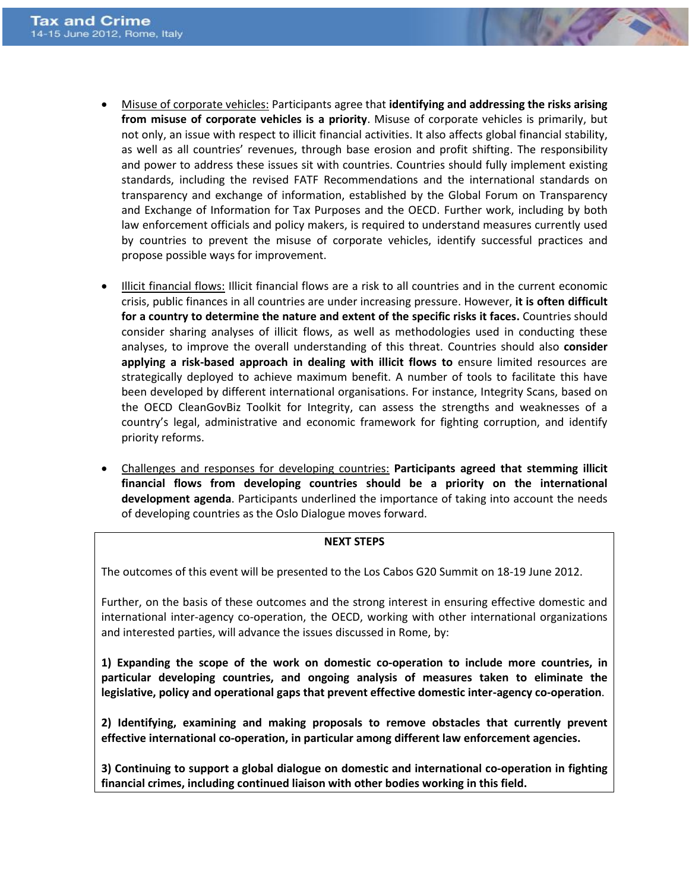- Misuse of corporate vehicles: Participants agree that **identifying and addressing the risks arising from misuse of corporate vehicles is a priority**. Misuse of corporate vehicles is primarily, but not only, an issue with respect to illicit financial activities. It also affects global financial stability, as well as all countries' revenues, through base erosion and profit shifting. The responsibility and power to address these issues sit with countries. Countries should fully implement existing standards, including the revised FATF Recommendations and the international standards on transparency and exchange of information, established by the Global Forum on Transparency and Exchange of Information for Tax Purposes and the OECD. Further work, including by both law enforcement officials and policy makers, is required to understand measures currently used by countries to prevent the misuse of corporate vehicles, identify successful practices and propose possible ways for improvement.
- Illicit financial flows: Illicit financial flows are a risk to all countries and in the current economic crisis, public finances in all countries are under increasing pressure. However, **it is often difficult for a country to determine the nature and extent of the specific risks it faces.** Countries should consider sharing analyses of illicit flows, as well as methodologies used in conducting these analyses, to improve the overall understanding of this threat. Countries should also **consider applying a risk-based approach in dealing with illicit flows to** ensure limited resources are strategically deployed to achieve maximum benefit. A number of tools to facilitate this have been developed by different international organisations. For instance, Integrity Scans, based on the OECD CleanGovBiz Toolkit for Integrity, can assess the strengths and weaknesses of a country's legal, administrative and economic framework for fighting corruption, and identify priority reforms.
- Challenges and responses for developing countries: **Participants agreed that stemming illicit financial flows from developing countries should be a priority on the international development agenda**. Participants underlined the importance of taking into account the needs of developing countries as the Oslo Dialogue moves forward.

## **NEXT STEPS**

The outcomes of this event will be presented to the Los Cabos G20 Summit on 18-19 June 2012.

Further, on the basis of these outcomes and the strong interest in ensuring effective domestic and international inter-agency co-operation, the OECD, working with other international organizations and interested parties, will advance the issues discussed in Rome, by:

**1) Expanding the scope of the work on domestic co-operation to include more countries, in particular developing countries, and ongoing analysis of measures taken to eliminate the legislative, policy and operational gaps that prevent effective domestic inter-agency co-operation**.

**2) Identifying, examining and making proposals to remove obstacles that currently prevent effective international co-operation, in particular among different law enforcement agencies.**

**3) Continuing to support a global dialogue on domestic and international co-operation in fighting financial crimes, including continued liaison with other bodies working in this field.**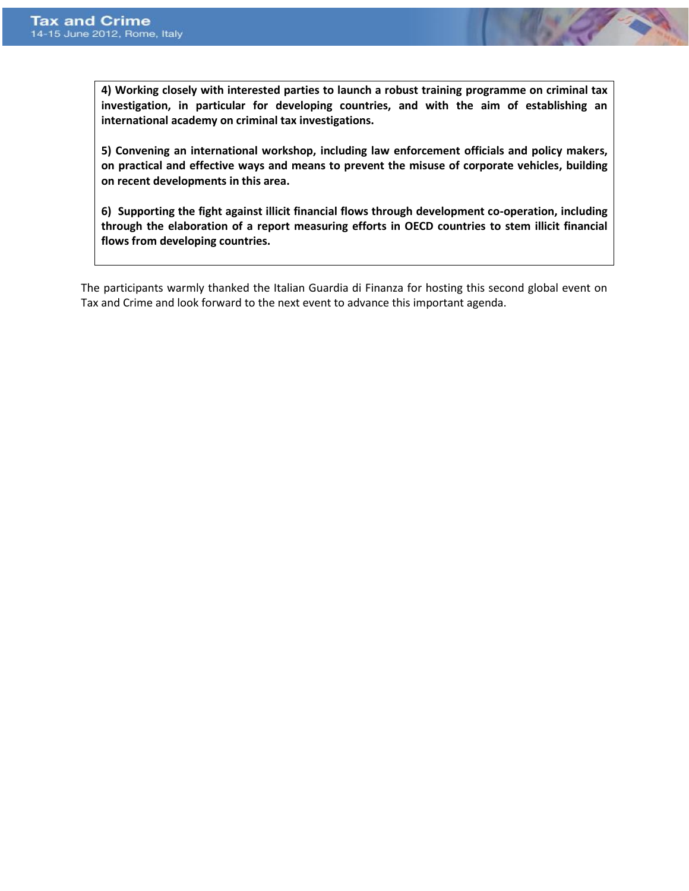**4) Working closely with interested parties to launch a robust training programme on criminal tax investigation, in particular for developing countries, and with the aim of establishing an international academy on criminal tax investigations.** 

**5) Convening an international workshop, including law enforcement officials and policy makers, on practical and effective ways and means to prevent the misuse of corporate vehicles, building on recent developments in this area.** 

**6) Supporting the fight against illicit financial flows through development co-operation, including through the elaboration of a report measuring efforts in OECD countries to stem illicit financial flows from developing countries.**

The participants warmly thanked the Italian Guardia di Finanza for hosting this second global event on Tax and Crime and look forward to the next event to advance this important agenda.